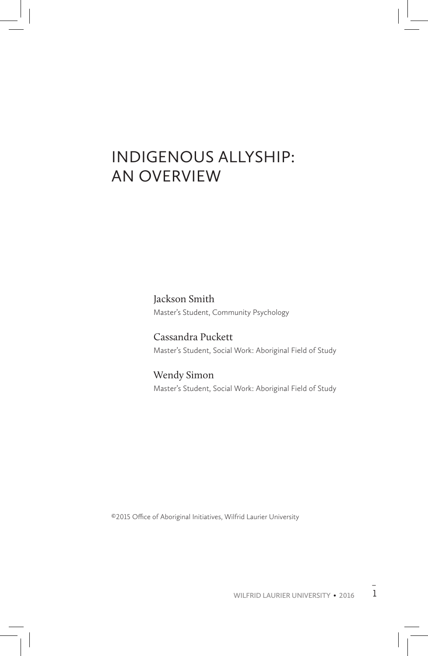### INDIGENOUS ALLYSHIP: AN OVERVIEW

Jackson Smith Master's Student, Community Psychology

Cassandra Puckett Master's Student, Social Work: Aboriginal Field of Study

Wendy Simon Master's Student, Social Work: Aboriginal Field of Study

©2015 Office of Aboriginal Initiatives, Wilfrid Laurier University

– **WILFRID LAURIER UNIVERSITY • 2016**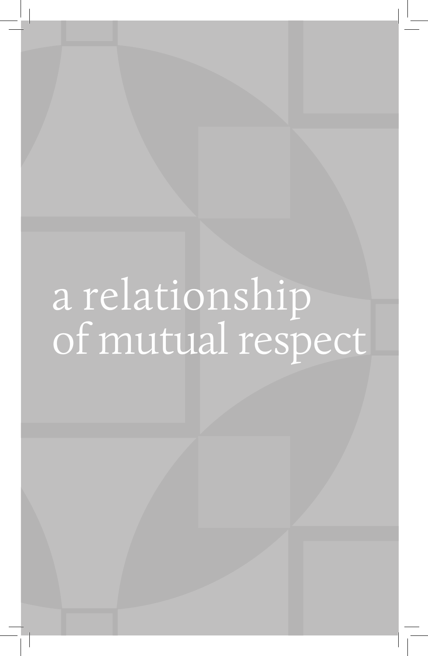# a relationship of mutual respect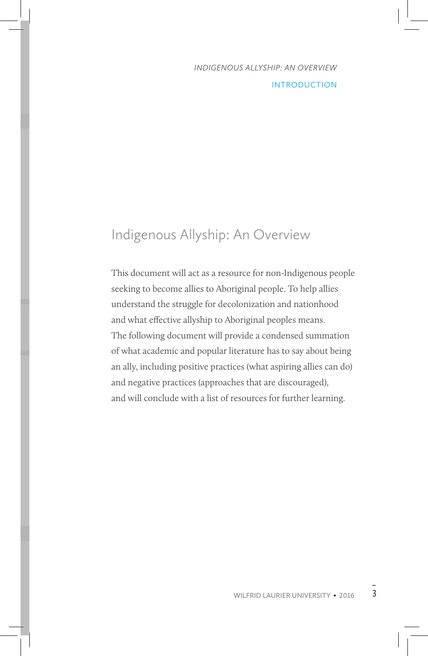### *INDIGENOUS ALLYSHIP: AN OVERVIEW* **INTRODUCTION**

### Indigenous Allyship: An Overview

This document will act as a resource for non-Indigenous people seeking to become allies to Aboriginal people. To help allies understand the struggle for decolonization and nationhood and what effective allyship to Aboriginal peoples means. The following document will provide a condensed summation of what academic and popular literature has to say about being an ally, including positive practices (what aspiring allies can do) and negative practices (approaches that are discouraged), and will conclude with a list of resources for further learning.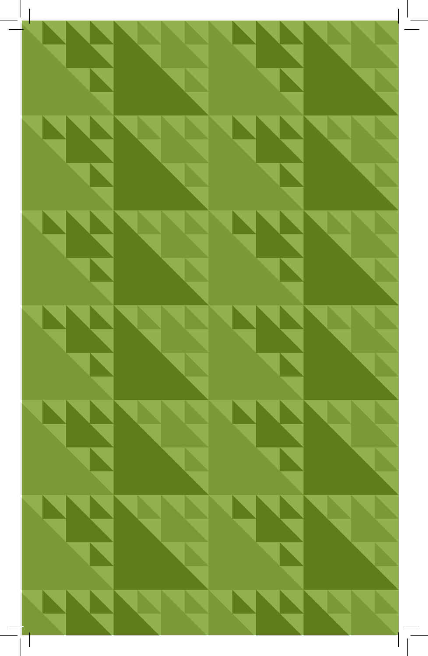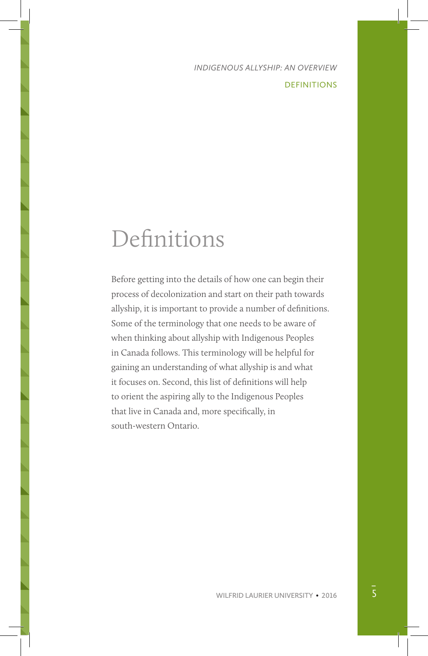### *INDIGENOUS ALLYSHIP: AN OVERVIEW*

#### DEFINITIONS

# Definitions

Before getting into the details of how one can begin their process of decolonization and start on their path towards allyship, it is important to provide a number of definitions. Some of the terminology that one needs to be aware of when thinking about allyship with Indigenous Peoples in Canada follows. This terminology will be helpful for gaining an understanding of what allyship is and what it focuses on. Second, this list of definitions will help to orient the aspiring ally to the Indigenous Peoples that live in Canada and, more specifically, in south-western Ontario.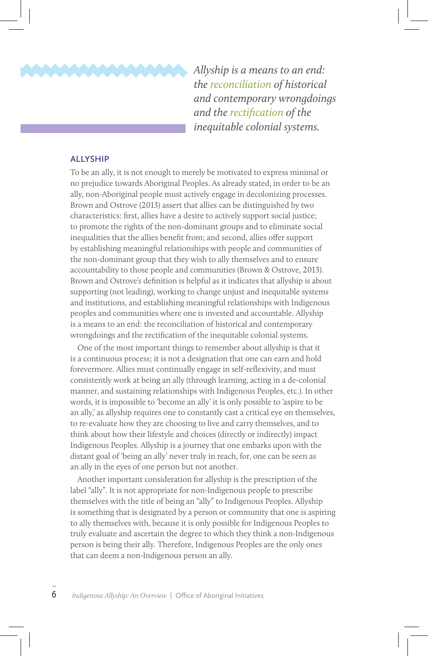

Allyship is a means to an end: the reconciliation of historical and contemporary wrongdoings and the rectification of the inequitable colonial systems.

#### **ALLYSHIP**

To be an ally, it is not enough to merely be motivated to express minimal or no prejudice towards Aboriginal Peoples. As already stated, in order to be an ally, non-Aboriginal people must actively engage in decolonizing processes. Brown and Ostrove (2013) assert that allies can be distinguished by two characteristics: first, allies have a desire to actively support social justice; to promote the rights of the non-dominant groups and to eliminate social inequalities that the allies benefit from; and second, allies offer support by establishing meaningful relationships with people and communities of the non-dominant group that they wish to ally themselves and to ensure accountability to those people and communities (Brown & Ostrove, 2013). Brown and Ostrove's definition is helpful as it indicates that allyship is about supporting (not leading), working to change unjust and inequitable systems and institutions, and establishing meaningful relationships with Indigenous peoples and communities where one is invested and accountable. Allyship is a means to an end: the reconciliation of historical and contemporary wrongdoings and the rectification of the inequitable colonial systems.

One of the most important things to remember about allyship is that it is a continuous process; it is not a designation that one can earn and hold forevermore. Allies must continually engage in self-reflexivity, and must consistently work at being an ally (through learning, acting in a de-colonial manner, and sustaining relationships with Indigenous Peoples, etc.). In other words, it is impossible to 'become an ally' it is only possible to 'aspire to be an ally,' as allyship requires one to constantly cast a critical eye on themselves, to re-evaluate how they are choosing to live and carry themselves, and to think about how their lifestyle and choices (directly or indirectly) impact Indigenous Peoples. Allyship is a journey that one embarks upon with the distant goal of 'being an ally' never truly in reach, for, one can be seen as an ally in the eyes of one person but not another.

Another important consideration for allyship is the prescription of the label "ally". It is not appropriate for non-Indigenous people to prescribe themselves with the title of being an "ally" to Indigenous Peoples. Allyship is something that is designated by a person or community that one is aspiring to ally themselves with, because it is only possible for Indigenous Peoples to truly evaluate and ascertain the degree to which they think a non-Indigenous person is being their ally. Therefore, Indigenous Peoples are the only ones that can deem a non-Indigenous person an ally.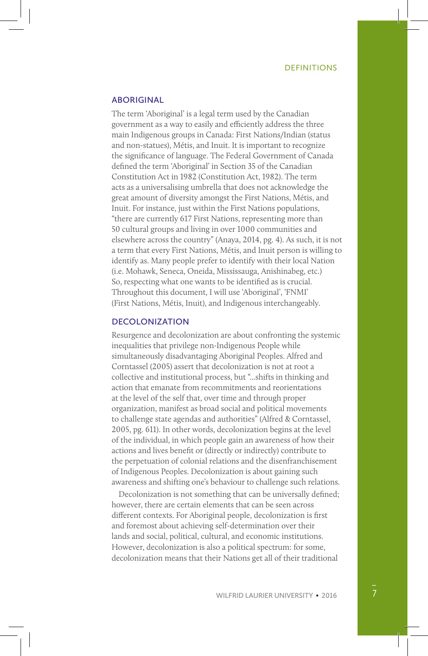#### DEFINITIONS

#### **ABORIGINAL**

The term 'Aboriginal' is a legal term used by the Canadian government as a way to easily and efficiently address the three main Indigenous groups in Canada: First Nations/Indian (status and non-statues), Métis, and Inuit. It is important to recognize the significance of language. The Federal Government of Canada defined the term 'Aboriginal' in Section 35 of the Canadian Constitution Act in 1982 (Constitution Act, 1982). The term acts as a universalising umbrella that does not acknowledge the great amount of diversity amongst the First Nations, Métis, and Inuit. For instance, just within the First Nations populations, "there are currently 617 First Nations, representing more than 50 cultural groups and living in over 1000 communities and elsewhere across the country" (Anaya, 2014, pg. 4). As such, it is not a term that every First Nations, Métis, and Inuit person is willing to identify as. Many people prefer to identify with their local Nation (i.e. Mohawk, Seneca, Oneida, Mississauga, Anishinabeg, etc.) So, respecting what one wants to be identified as is crucial. Throughout this document, I will use 'Aboriginal', 'FNMI' (First Nations, Métis, Inuit), and Indigenous interchangeably.

#### **DECOLONIZATION**

Resurgence and decolonization are about confronting the systemic inequalities that privilege non-Indigenous People while simultaneously disadvantaging Aboriginal Peoples. Alfred and Corntassel (2005) assert that decolonization is not at root a collective and institutional process, but "...shifts in thinking and action that emanate from recommitments and reorientations at the level of the self that, over time and through proper organization, manifest as broad social and political movements to challenge state agendas and authorities" (Alfred & Corntassel, 2005, pg. 611). In other words, decolonization begins at the level of the individual, in which people gain an awareness of how their actions and lives benefit or (directly or indirectly) contribute to the perpetuation of colonial relations and the disenfranchisement of Indigenous Peoples. Decolonization is about gaining such awareness and shifting one's behaviour to challenge such relations.

Decolonization is not something that can be universally defined; however, there are certain elements that can be seen across different contexts. For Aboriginal people, decolonization is first and foremost about achieving self-determination over their lands and social, political, cultural, and economic institutions. However, decolonization is also a political spectrum: for some, decolonization means that their Nations get all of their traditional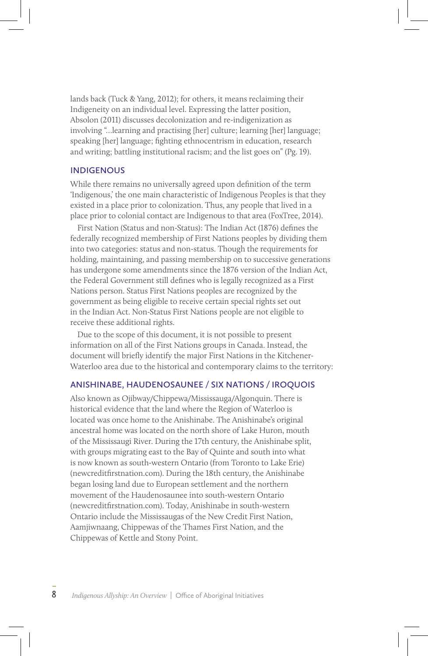lands back (Tuck & Yang, 2012); for others, it means reclaiming their Indigeneity on an individual level. Expressing the latter position, Absolon (2011) discusses decolonization and re-indigenization as involving "…learning and practising [her] culture; learning [her] language; speaking [her] language; fighting ethnocentrism in education, research and writing; battling institutional racism; and the list goes on" (Pg. 19).

#### **INDIGENOUS**

While there remains no universally agreed upon definition of the term 'Indigenous,' the one main characteristic of Indigenous Peoples is that they existed in a place prior to colonization. Thus, any people that lived in a place prior to colonial contact are Indigenous to that area (FoxTree, 2014).

First Nation (Status and non-Status): The Indian Act (1876) defines the federally recognized membership of First Nations peoples by dividing them into two categories: status and non-status. Though the requirements for holding, maintaining, and passing membership on to successive generations has undergone some amendments since the 1876 version of the Indian Act, the Federal Government still defines who is legally recognized as a First Nations person. Status First Nations peoples are recognized by the government as being eligible to receive certain special rights set out in the Indian Act. Non-Status First Nations people are not eligible to receive these additional rights.

Due to the scope of this document, it is not possible to present information on all of the First Nations groups in Canada. Instead, the document will briefly identify the major First Nations in the Kitchener-Waterloo area due to the historical and contemporary claims to the territory:

#### **ANISHINABE, HAUDENOSAUNEE / SIX NATIONS / IROQUOIS**

Also known as Ojibway/Chippewa/Mississauga/Algonquin. There is historical evidence that the land where the Region of Waterloo is located was once home to the Anishinabe. The Anishinabe's original ancestral home was located on the north shore of Lake Huron, mouth of the Mississaugi River. During the 17th century, the Anishinabe split, with groups migrating east to the Bay of Quinte and south into what is now known as south-western Ontario (from Toronto to Lake Erie) (newcreditfirstnation.com). During the 18th century, the Anishinabe began losing land due to European settlement and the northern movement of the Haudenosaunee into south-western Ontario (newcreditfirstnation.com). Today, Anishinabe in south-western Ontario include the Mississaugas of the New Credit First Nation, Aamjiwnaang, Chippewas of the Thames First Nation, and the Chippewas of Kettle and Stony Point.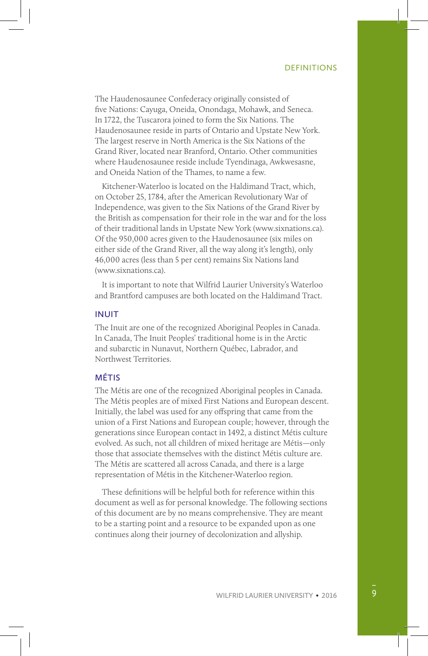#### DEFINITIONS

The Haudenosaunee Confederacy originally consisted of five Nations: Cayuga, Oneida, Onondaga, Mohawk, and Seneca. In 1722, the Tuscarora joined to form the Six Nations. The Haudenosaunee reside in parts of Ontario and Upstate New York. The largest reserve in North America is the Six Nations of the Grand River, located near Branford, Ontario. Other communities where Haudenosaunee reside include Tyendinaga, Awkwesasne, and Oneida Nation of the Thames, to name a few.

Kitchener-Waterloo is located on the Haldimand Tract, which, on October 25, 1784, after the American Revolutionary War of Independence, was given to the Six Nations of the Grand River by the British as compensation for their role in the war and for the loss of their traditional lands in Upstate New York (www.sixnations.ca). Of the 950,000 acres given to the Haudenosaunee (six miles on either side of the Grand River, all the way along it's length), only 46,000 acres (less than 5 per cent) remains Six Nations land (www.sixnations.ca).

It is important to note that Wilfrid Laurier University's Waterloo and Brantford campuses are both located on the Haldimand Tract.

#### **INUIT**

The Inuit are one of the recognized Aboriginal Peoples in Canada. In Canada, The Inuit Peoples' traditional home is in the Arctic and subarctic in Nunavut, Northern Québec, Labrador, and Northwest Territories.

#### **MÉTIS**

The Métis are one of the recognized Aboriginal peoples in Canada. The Métis peoples are of mixed First Nations and European descent. Initially, the label was used for any offspring that came from the union of a First Nations and European couple; however, through the generations since European contact in 1492, a distinct Métis culture evolved. As such, not all children of mixed heritage are Métis—only those that associate themselves with the distinct Métis culture are. The Métis are scattered all across Canada, and there is a large representation of Métis in the Kitchener-Waterloo region.

These definitions will be helpful both for reference within this document as well as for personal knowledge. The following sections of this document are by no means comprehensive. They are meant to be a starting point and a resource to be expanded upon as one continues along their journey of decolonization and allyship.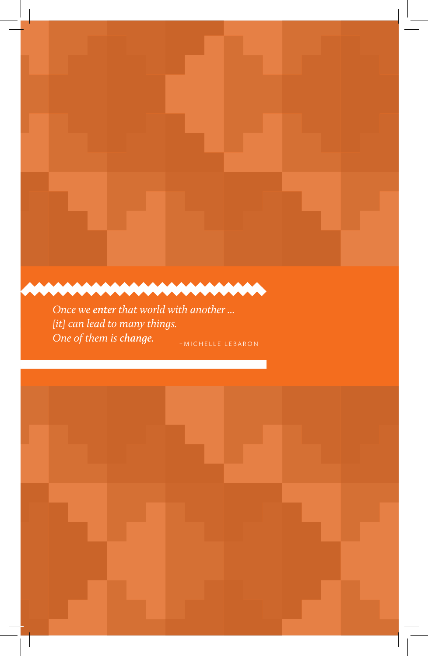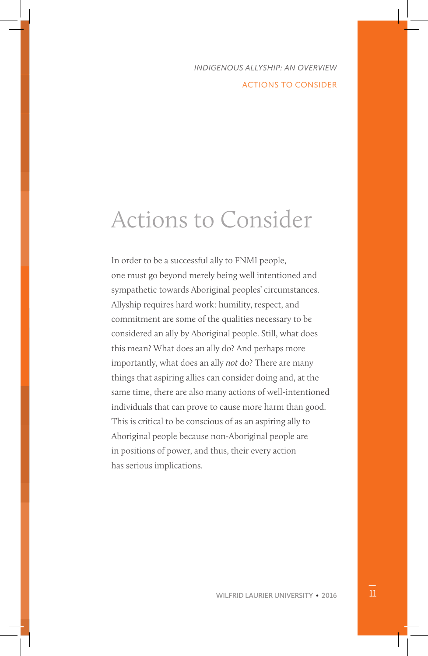# Actions to Consider

In order to be a successful ally to FNMI people, one must go beyond merely being well intentioned and sympathetic towards Aboriginal peoples' circumstances. Allyship requires hard work: humility, respect, and commitment are some of the qualities necessary to be considered an ally by Aboriginal people. Still, what does this mean? What does an ally do? And perhaps more importantly, what does an ally not do? There are many things that aspiring allies can consider doing and, at the same time, there are also many actions of well-intentioned individuals that can prove to cause more harm than good. This is critical to be conscious of as an aspiring ally to Aboriginal people because non-Aboriginal people are in positions of power, and thus, their every action has serious implications.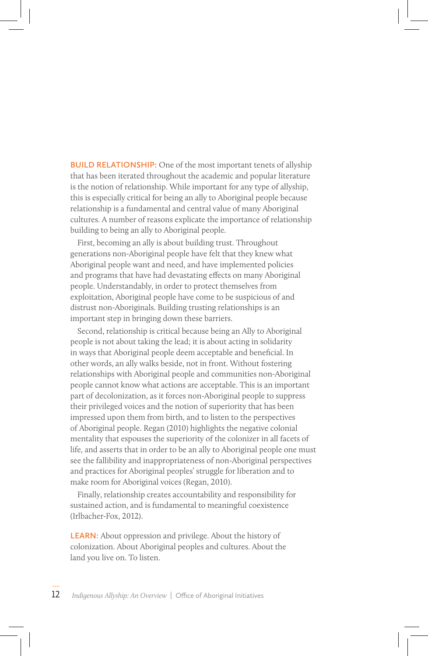**BUILD RELATIONSHIP:** One of the most important tenets of allyship that has been iterated throughout the academic and popular literature is the notion of relationship. While important for any type of allyship, this is especially critical for being an ally to Aboriginal people because relationship is a fundamental and central value of many Aboriginal cultures. A number of reasons explicate the importance of relationship building to being an ally to Aboriginal people.

First, becoming an ally is about building trust. Throughout generations non-Aboriginal people have felt that they knew what Aboriginal people want and need, and have implemented policies and programs that have had devastating effects on many Aboriginal people. Understandably, in order to protect themselves from exploitation, Aboriginal people have come to be suspicious of and distrust non-Aboriginals. Building trusting relationships is an important step in bringing down these barriers.

Second, relationship is critical because being an Ally to Aboriginal people is not about taking the lead; it is about acting in solidarity in ways that Aboriginal people deem acceptable and beneficial. In other words, an ally walks beside, not in front. Without fostering relationships with Aboriginal people and communities non-Aboriginal people cannot know what actions are acceptable. This is an important part of decolonization, as it forces non-Aboriginal people to suppress their privileged voices and the notion of superiority that has been impressed upon them from birth, and to listen to the perspectives of Aboriginal people. Regan (2010) highlights the negative colonial mentality that espouses the superiority of the colonizer in all facets of life, and asserts that in order to be an ally to Aboriginal people one must see the fallibility and inappropriateness of non-Aboriginal perspectives and practices for Aboriginal peoples' struggle for liberation and to make room for Aboriginal voices (Regan, 2010).

Finally, relationship creates accountability and responsibility for sustained action, and is fundamental to meaningful coexistence (Irlbacher-Fox, 2012).

**LEARN:** About oppression and privilege. About the history of colonization. About Aboriginal peoples and cultures. About the land you live on. To listen.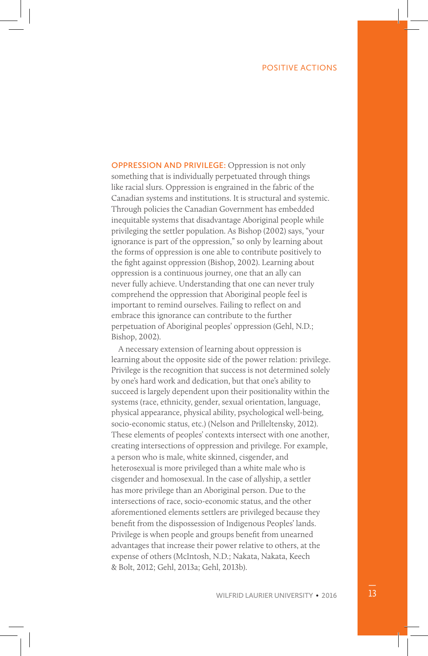#### POSITIVE ACTIONS

**OPPRESSION AND PRIVILEGE:** Oppression is not only something that is individually perpetuated through things like racial slurs. Oppression is engrained in the fabric of the Canadian systems and institutions. It is structural and systemic. Through policies the Canadian Government has embedded inequitable systems that disadvantage Aboriginal people while privileging the settler population. As Bishop (2002) says, "your ignorance is part of the oppression," so only by learning about the forms of oppression is one able to contribute positively to the fight against oppression (Bishop, 2002). Learning about oppression is a continuous journey, one that an ally can never fully achieve. Understanding that one can never truly comprehend the oppression that Aboriginal people feel is important to remind ourselves. Failing to reflect on and embrace this ignorance can contribute to the further perpetuation of Aboriginal peoples' oppression (Gehl, N.D.; Bishop, 2002).

A necessary extension of learning about oppression is learning about the opposite side of the power relation: privilege. Privilege is the recognition that success is not determined solely by one's hard work and dedication, but that one's ability to succeed is largely dependent upon their positionality within the systems (race, ethnicity, gender, sexual orientation, language, physical appearance, physical ability, psychological well-being, socio-economic status, etc.) (Nelson and Prilleltensky, 2012). These elements of peoples' contexts intersect with one another, creating intersections of oppression and privilege. For example, a person who is male, white skinned, cisgender, and heterosexual is more privileged than a white male who is cisgender and homosexual. In the case of allyship, a settler has more privilege than an Aboriginal person. Due to the intersections of race, socio-economic status, and the other aforementioned elements settlers are privileged because they benefit from the dispossession of Indigenous Peoples' lands. Privilege is when people and groups benefit from unearned advantages that increase their power relative to others, at the expense of others (McIntosh, N.D.; Nakata, Nakata, Keech & Bolt, 2012; Gehl, 2013a; Gehl, 2013b).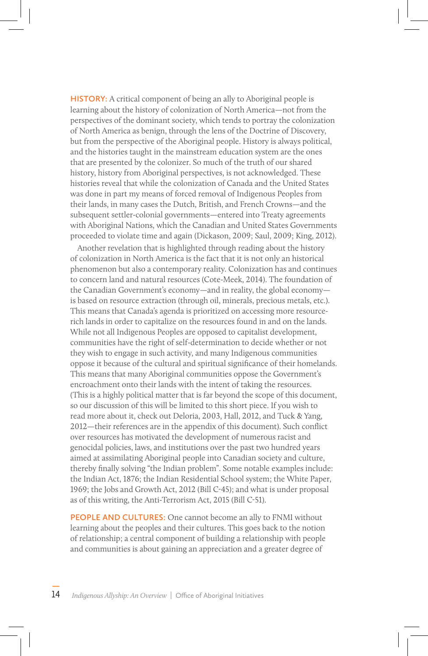**HISTORY:** A critical component of being an ally to Aboriginal people is learning about the history of colonization of North America—not from the perspectives of the dominant society, which tends to portray the colonization of North America as benign, through the lens of the Doctrine of Discovery, but from the perspective of the Aboriginal people. History is always political, and the histories taught in the mainstream education system are the ones that are presented by the colonizer. So much of the truth of our shared history, history from Aboriginal perspectives, is not acknowledged. These histories reveal that while the colonization of Canada and the United States was done in part my means of forced removal of Indigenous Peoples from their lands, in many cases the Dutch, British, and French Crowns—and the subsequent settler-colonial governments—entered into Treaty agreements with Aboriginal Nations, which the Canadian and United States Governments proceeded to violate time and again (Dickason, 2009; Saul, 2009; King, 2012).

Another revelation that is highlighted through reading about the history of colonization in North America is the fact that it is not only an historical phenomenon but also a contemporary reality. Colonization has and continues to concern land and natural resources (Cote-Meek, 2014). The foundation of the Canadian Government's economy—and in reality, the global economy is based on resource extraction (through oil, minerals, precious metals, etc.). This means that Canada's agenda is prioritized on accessing more resourcerich lands in order to capitalize on the resources found in and on the lands. While not all Indigenous Peoples are opposed to capitalist development, communities have the right of self-determination to decide whether or not they wish to engage in such activity, and many Indigenous communities oppose it because of the cultural and spiritual significance of their homelands. This means that many Aboriginal communities oppose the Government's encroachment onto their lands with the intent of taking the resources. (This is a highly political matter that is far beyond the scope of this document, so our discussion of this will be limited to this short piece. If you wish to read more about it, check out Deloria, 2003, Hall, 2012, and Tuck & Yang, 2012—their references are in the appendix of this document). Such conflict over resources has motivated the development of numerous racist and genocidal policies, laws, and institutions over the past two hundred years aimed at assimilating Aboriginal people into Canadian society and culture, thereby finally solving "the Indian problem". Some notable examples include: the Indian Act, 1876; the Indian Residential School system; the White Paper, 1969; the Jobs and Growth Act, 2012 (Bill C-45); and what is under proposal as of this writing, the Anti-Terrorism Act, 2015 (Bill C-51).

**PEOPLE AND CULTURES:** One cannot become an ally to FNMI without learning about the peoples and their cultures. This goes back to the notion of relationship; a central component of building a relationship with people and communities is about gaining an appreciation and a greater degree of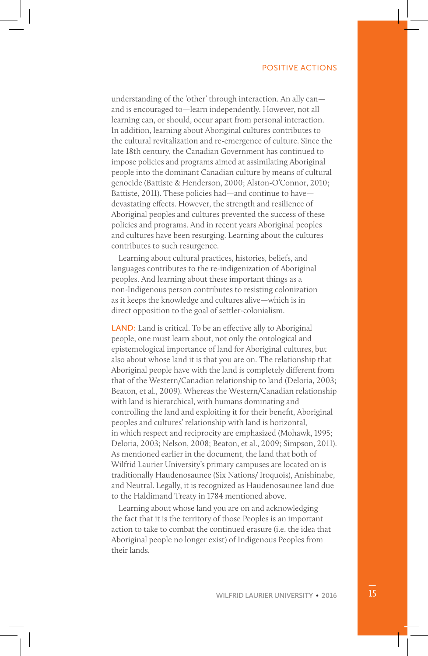#### POSITIVE ACTIONS

understanding of the 'other' through interaction. An ally can and is encouraged to—learn independently. However, not all learning can, or should, occur apart from personal interaction. In addition, learning about Aboriginal cultures contributes to the cultural revitalization and re-emergence of culture. Since the late 18th century, the Canadian Government has continued to impose policies and programs aimed at assimilating Aboriginal people into the dominant Canadian culture by means of cultural genocide (Battiste & Henderson, 2000; Alston-O'Connor, 2010; Battiste, 2011). These policies had—and continue to have devastating effects. However, the strength and resilience of Aboriginal peoples and cultures prevented the success of these policies and programs. And in recent years Aboriginal peoples and cultures have been resurging. Learning about the cultures contributes to such resurgence.

Learning about cultural practices, histories, beliefs, and languages contributes to the re-indigenization of Aboriginal peoples. And learning about these important things as a non-Indigenous person contributes to resisting colonization as it keeps the knowledge and cultures alive—which is in direct opposition to the goal of settler-colonialism.

**LAND:** Land is critical. To be an effective ally to Aboriginal people, one must learn about, not only the ontological and epistemological importance of land for Aboriginal cultures, but also about whose land it is that you are on. The relationship that Aboriginal people have with the land is completely different from that of the Western/Canadian relationship to land (Deloria, 2003; Beaton, et al., 2009). Whereas the Western/Canadian relationship with land is hierarchical, with humans dominating and controlling the land and exploiting it for their benefit, Aboriginal peoples and cultures' relationship with land is horizontal, in which respect and reciprocity are emphasized (Mohawk, 1995; Deloria, 2003; Nelson, 2008; Beaton, et al., 2009; Simpson, 2011). As mentioned earlier in the document, the land that both of Wilfrid Laurier University's primary campuses are located on is traditionally Haudenosaunee (Six Nations/ Iroquois), Anishinabe, and Neutral. Legally, it is recognized as Haudenosaunee land due to the Haldimand Treaty in 1784 mentioned above.

Learning about whose land you are on and acknowledging the fact that it is the territory of those Peoples is an important action to take to combat the continued erasure (i.e. the idea that Aboriginal people no longer exist) of Indigenous Peoples from their lands.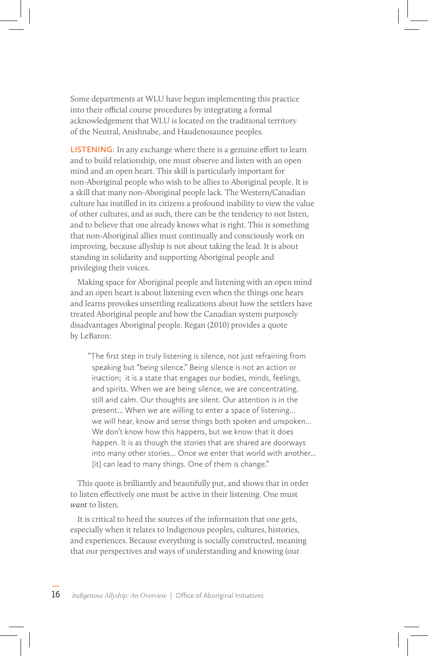Some departments at WLU have begun implementing this practice into their official course procedures by integrating a formal acknowledgement that WLU is located on the traditional territory of the Neutral, Anishnabe, and Haudenosaunee peoples.

**LISTENING:** In any exchange where there is a genuine effort to learn and to build relationship, one must observe and listen with an open mind and an open heart. This skill is particularly important for non-Aboriginal people who wish to be allies to Aboriginal people. It is a skill that many non-Aboriginal people lack. The Western/Canadian culture has instilled in its citizens a profound inability to view the value of other cultures, and as such, there can be the tendency to not listen, and to believe that one already knows what is right. This is something that non-Aboriginal allies must continually and consciously work on improving, because allyship is not about taking the lead. It is about standing in solidarity and supporting Aboriginal people and privileging their voices.

Making space for Aboriginal people and listening with an open mind and an open heart is about listening even when the things one hears and learns provokes unsettling realizations about how the settlers have treated Aboriginal people and how the Canadian system purposely disadvantages Aboriginal people. Regan (2010) provides a quote by LeBaron:

"The first step in truly listening is silence, not just refraining from speaking but "being silence." Being silence is not an action or inaction; it is a state that engages our bodies, minds, feelings, and spirits. When we are being silence, we are concentrating, still and calm. Our thoughts are silent. Our attention is in the present... When we are willing to enter a space of listening... we will hear, know and sense things both spoken and unspoken... We don't know how this happens, but we know that it does happen. It is as though the stories that are shared are doorways into many other stories... Once we enter that world with another... [it] can lead to many things. One of them is change."

This quote is brilliantly and beautifully put, and shows that in order to listen effectively one must be active in their listening. One must want to listen.

It is critical to heed the sources of the information that one gets, especially when it relates to Indigenous peoples, cultures, histories, and experiences. Because everything is socially constructed, meaning that our perspectives and ways of understanding and knowing (our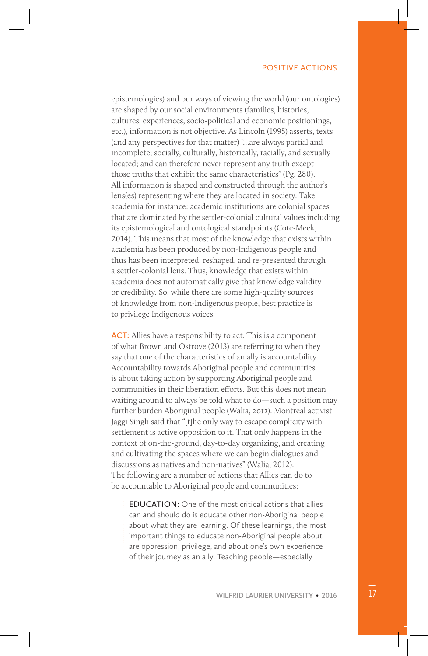#### POSITIVE ACTIONS

epistemologies) and our ways of viewing the world (our ontologies) are shaped by our social environments (families, histories, cultures, experiences, socio-political and economic positionings, etc.), information is not objective. As Lincoln (1995) asserts, texts (and any perspectives for that matter) "…are always partial and incomplete; socially, culturally, historically, racially, and sexually located; and can therefore never represent any truth except those truths that exhibit the same characteristics" (Pg. 280). All information is shaped and constructed through the author's lens(es) representing where they are located in society. Take academia for instance: academic institutions are colonial spaces that are dominated by the settler-colonial cultural values including its epistemological and ontological standpoints (Cote-Meek, 2014). This means that most of the knowledge that exists within academia has been produced by non-Indigenous people and thus has been interpreted, reshaped, and re-presented through a settler-colonial lens. Thus, knowledge that exists within academia does not automatically give that knowledge validity or credibility. So, while there are some high-quality sources of knowledge from non-Indigenous people, best practice is to privilege Indigenous voices.

**ACT:** Allies have a responsibility to act. This is a component of what Brown and Ostrove (2013) are referring to when they say that one of the characteristics of an ally is accountability. Accountability towards Aboriginal people and communities is about taking action by supporting Aboriginal people and communities in their liberation efforts. But this does not mean waiting around to always be told what to do—such a position may further burden Aboriginal people (Walia, 2012). Montreal activist Jaggi Singh said that "[t]he only way to escape complicity with settlement is active opposition to it. That only happens in the context of on-the-ground, day-to-day organizing, and creating and cultivating the spaces where we can begin dialogues and discussions as natives and non-natives" (Walia, 2012). The following are a number of actions that Allies can do to be accountable to Aboriginal people and communities:

**EDUCATION:** One of the most critical actions that allies can and should do is educate other non-Aboriginal people about what they are learning. Of these learnings, the most important things to educate non-Aboriginal people about are oppression, privilege, and about one's own experience of their journey as an ally. Teaching people—especially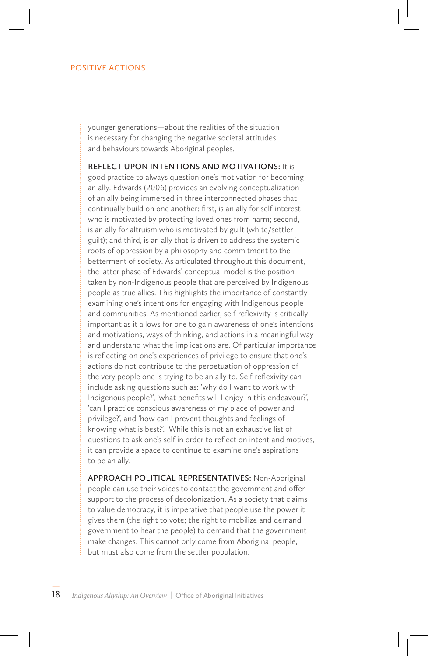#### POSITIVE ACTIONS

younger generations—about the realities of the situation is necessary for changing the negative societal attitudes and behaviours towards Aboriginal peoples.

**REFLECT UPON INTENTIONS AND MOTIVATIONS:** It is good practice to always question one's motivation for becoming an ally. Edwards (2006) provides an evolving conceptualization of an ally being immersed in three interconnected phases that continually build on one another: first, is an ally for self-interest who is motivated by protecting loved ones from harm; second, is an ally for altruism who is motivated by guilt (white/settler guilt); and third, is an ally that is driven to address the systemic roots of oppression by a philosophy and commitment to the betterment of society. As articulated throughout this document, the latter phase of Edwards' conceptual model is the position taken by non-Indigenous people that are perceived by Indigenous people as true allies. This highlights the importance of constantly examining one's intentions for engaging with Indigenous people and communities. As mentioned earlier, self-reflexivity is critically important as it allows for one to gain awareness of one's intentions and motivations, ways of thinking, and actions in a meaningful way and understand what the implications are. Of particular importance is reflecting on one's experiences of privilege to ensure that one's actions do not contribute to the perpetuation of oppression of the very people one is trying to be an ally to. Self-reflexivity can include asking questions such as: 'why do I want to work with Indigenous people?', 'what benefits will I enjoy in this endeavour?', 'can I practice conscious awareness of my place of power and privilege?', and 'how can I prevent thoughts and feelings of knowing what is best?'. While this is not an exhaustive list of questions to ask one's self in order to reflect on intent and motives, it can provide a space to continue to examine one's aspirations to be an ally.

**APPROACH POLITICAL REPRESENTATIVES:** Non-Aboriginal people can use their voices to contact the government and offer support to the process of decolonization. As a society that claims to value democracy, it is imperative that people use the power it gives them (the right to vote; the right to mobilize and demand government to hear the people) to demand that the government make changes. This cannot only come from Aboriginal people, but must also come from the settler population.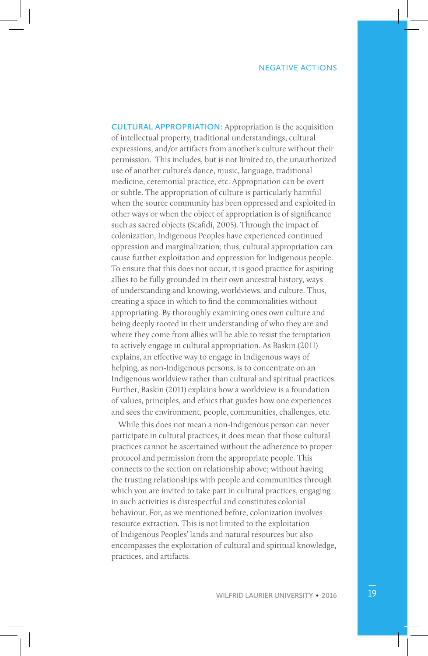#### NEGATIVE ACTIONS

**CULTURAL APPROPRIATION:** Appropriation is the acquisition of intellectual property, traditional understandings, cultural expressions, and/or artifacts from another's culture without their permission. This includes, but is not limited to, the unauthorized use of another culture's dance, music, language, traditional medicine, ceremonial practice, etc. Appropriation can be overt or subtle. The appropriation of culture is particularly harmful when the source community has been oppressed and exploited in other ways or when the object of appropriation is of significance such as sacred objects (Scafidi, 2005). Through the impact of colonization, Indigenous Peoples have experienced continued oppression and marginalization; thus, cultural appropriation can cause further exploitation and oppression for Indigenous people. To ensure that this does not occur, it is good practice for aspiring allies to be fully grounded in their own ancestral history, ways of understanding and knowing, worldviews, and culture. Thus, creating a space in which to find the commonalities without appropriating. By thoroughly examining ones own culture and being deeply rooted in their understanding of who they are and where they come from allies will be able to resist the temptation to actively engage in cultural appropriation. As Baskin (2011) explains, an effective way to engage in Indigenous ways of helping, as non-Indigenous persons, is to concentrate on an Indigenous worldview rather than cultural and spiritual practices. Further, Baskin (2011) explains how a worldview is a foundation of values, principles, and ethics that guides how one experiences and sees the environment, people, communities, challenges, etc.

While this does not mean a non-Indigenous person can never participate in cultural practices, it does mean that those cultural practices cannot be ascertained without the adherence to proper protocol and permission from the appropriate people. This connects to the section on relationship above; without having the trusting relationships with people and communities through which you are invited to take part in cultural practices, engaging in such activities is disrespectful and constitutes colonial behaviour. For, as we mentioned before, colonization involves resource extraction. This is not limited to the exploitation of Indigenous Peoples' lands and natural resources but also encompasses the exploitation of cultural and spiritual knowledge, practices, and artifacts.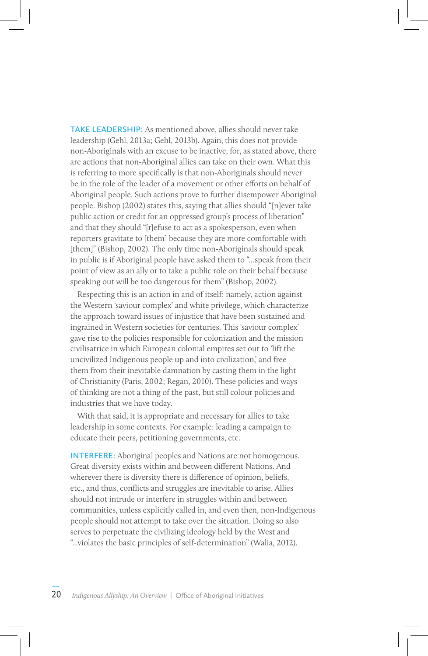**TAKE LEADERSHIP:** As mentioned above, allies should never take leadership (Gehl, 2013a; Gehl, 2013b). Again, this does not provide non-Aboriginals with an excuse to be inactive, for, as stated above, there are actions that non-Aboriginal allies can take on their own. What this is referring to more specifically is that non-Aboriginals should never be in the role of the leader of a movement or other efforts on behalf of Aboriginal people. Such actions prove to further disempower Aboriginal people. Bishop (2002) states this, saying that allies should "[n]ever take public action or credit for an oppressed group's process of liberation" and that they should "[r]efuse to act as a spokesperson, even when reporters gravitate to [them] because they are more comfortable with [them]" (Bishop, 2002). The only time non-Aboriginals should speak in public is if Aboriginal people have asked them to "…speak from their point of view as an ally or to take a public role on their behalf because speaking out will be too dangerous for them" (Bishop, 2002).

Respecting this is an action in and of itself; namely, action against the Western 'saviour complex' and white privilege, which characterize the approach toward issues of injustice that have been sustained and ingrained in Western societies for centuries. This 'saviour complex' gave rise to the policies responsible for colonization and the mission civilisatrice in which European colonial empires set out to 'lift the uncivilized Indigenous people up and into civilization,' and free them from their inevitable damnation by casting them in the light of Christianity (Paris, 2002; Regan, 2010). These policies and ways of thinking are not a thing of the past, but still colour policies and industries that we have today.

With that said, it is appropriate and necessary for allies to take leadership in some contexts. For example: leading a campaign to educate their peers, petitioning governments, etc.

**INTERFERE:** Aboriginal peoples and Nations are not homogenous. Great diversity exists within and between different Nations. And wherever there is diversity there is difference of opinion, beliefs, etc., and thus, conflicts and struggles are inevitable to arise. Allies should not intrude or interfere in struggles within and between communities, unless explicitly called in, and even then, non-Indigenous people should not attempt to take over the situation. Doing so also serves to perpetuate the civilizing ideology held by the West and "...violates the basic principles of self-determination" (Walia, 2012).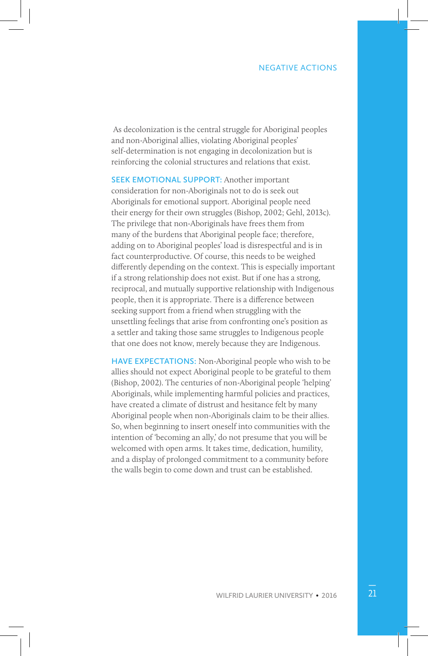As decolonization is the central struggle for Aboriginal peoples and non-Aboriginal allies, violating Aboriginal peoples' self-determination is not engaging in decolonization but is reinforcing the colonial structures and relations that exist.

**SEEK EMOTIONAL SUPPORT:** Another important consideration for non-Aboriginals not to do is seek out Aboriginals for emotional support. Aboriginal people need their energy for their own struggles (Bishop, 2002; Gehl, 2013c). The privilege that non-Aboriginals have frees them from many of the burdens that Aboriginal people face; therefore, adding on to Aboriginal peoples' load is disrespectful and is in fact counterproductive. Of course, this needs to be weighed differently depending on the context. This is especially important if a strong relationship does not exist. But if one has a strong, reciprocal, and mutually supportive relationship with Indigenous people, then it is appropriate. There is a difference between seeking support from a friend when struggling with the unsettling feelings that arise from confronting one's position as a settler and taking those same struggles to Indigenous people that one does not know, merely because they are Indigenous.

**HAVE EXPECTATIONS:** Non-Aboriginal people who wish to be allies should not expect Aboriginal people to be grateful to them (Bishop, 2002). The centuries of non-Aboriginal people 'helping' Aboriginals, while implementing harmful policies and practices, have created a climate of distrust and hesitance felt by many Aboriginal people when non-Aboriginals claim to be their allies. So, when beginning to insert oneself into communities with the intention of 'becoming an ally,' do not presume that you will be welcomed with open arms. It takes time, dedication, humility, and a display of prolonged commitment to a community before the walls begin to come down and trust can be established.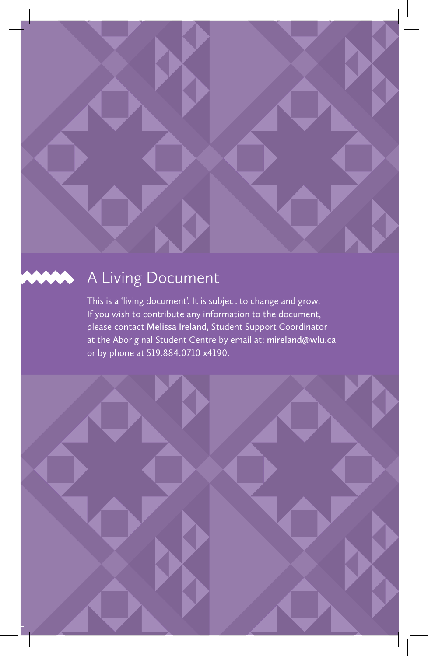

### A Living Document

This is a 'living document'. It is subject to change and grow. If you wish to contribute any information to the document, please contact **Melissa Ireland**, Student Support Coordinator at the Aboriginal Student Centre by email at: **mireland@wlu.ca** or by phone at 519.884.0710 x4190.

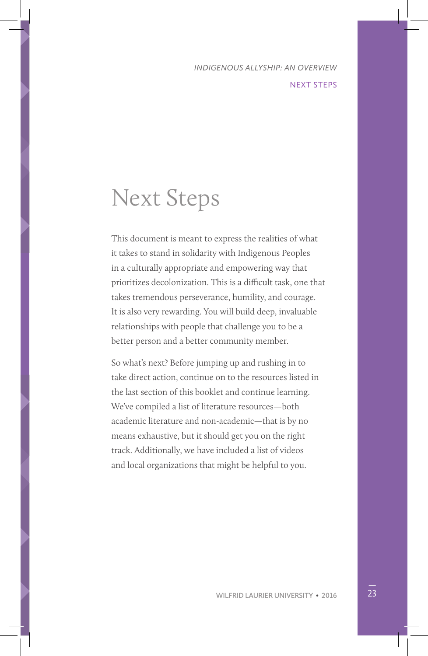NEXT STEPS

# Next Steps

This document is meant to express the realities of what it takes to stand in solidarity with Indigenous Peoples in a culturally appropriate and empowering way that prioritizes decolonization. This is a difficult task, one that takes tremendous perseverance, humility, and courage. It is also very rewarding. You will build deep, invaluable relationships with people that challenge you to be a better person and a better community member.

So what's next? Before jumping up and rushing in to take direct action, continue on to the resources listed in the last section of this booklet and continue learning. We've compiled a list of literature resources—both academic literature and non-academic—that is by no means exhaustive, but it should get you on the right track. Additionally, we have included a list of videos and local organizations that might be helpful to you.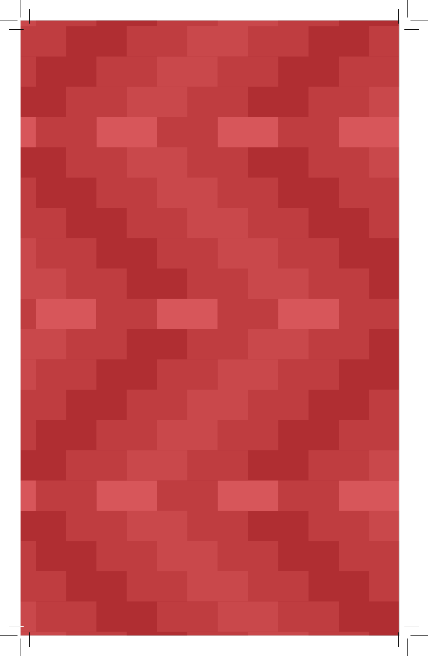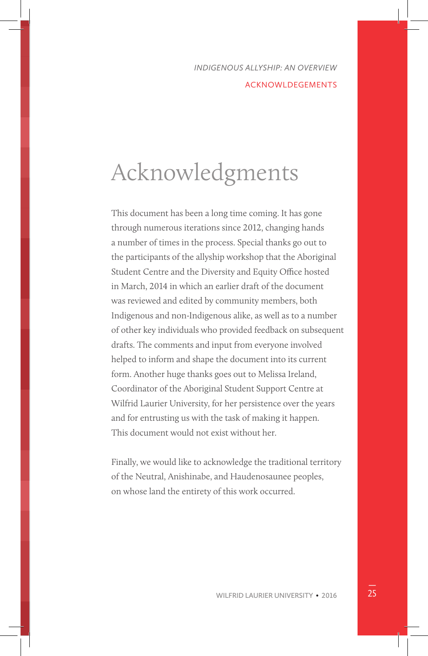# Acknowledgments

This document has been a long time coming. It has gone through numerous iterations since 2012, changing hands a number of times in the process. Special thanks go out to the participants of the allyship workshop that the Aboriginal Student Centre and the Diversity and Equity Office hosted in March, 2014 in which an earlier draft of the document was reviewed and edited by community members, both Indigenous and non-Indigenous alike, as well as to a number of other key individuals who provided feedback on subsequent drafts. The comments and input from everyone involved helped to inform and shape the document into its current form. Another huge thanks goes out to Melissa Ireland, Coordinator of the Aboriginal Student Support Centre at Wilfrid Laurier University, for her persistence over the years and for entrusting us with the task of making it happen. This document would not exist without her.

Finally, we would like to acknowledge the traditional territory of the Neutral, Anishinabe, and Haudenosaunee peoples, on whose land the entirety of this work occurred.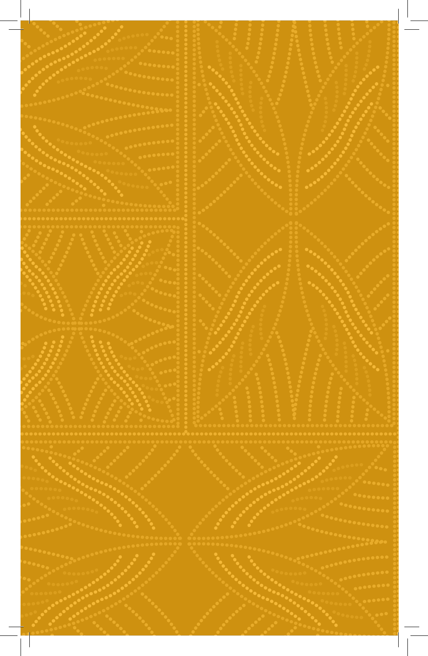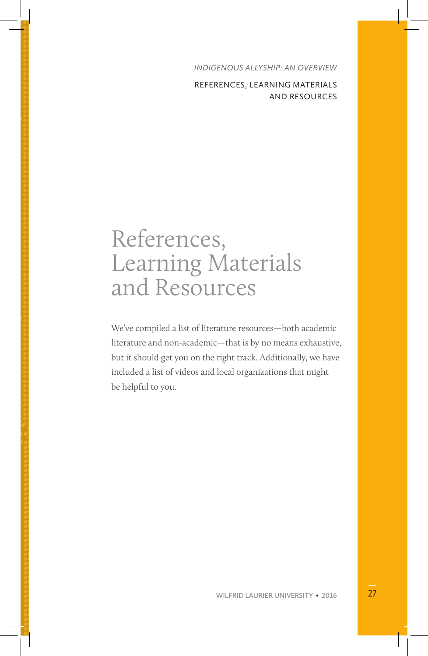*INDIGENOUS ALLYSHIP: AN OVERVIEW*

REFERENCES, LEARNING MATERIALS AND RESOURCES

# References, Learning Materials and Resources

We've compiled a list of literature resources—both academic literature and non-academic—that is by no means exhaustive, but it should get you on the right track. Additionally, we have included a list of videos and local organizations that might be helpful to you.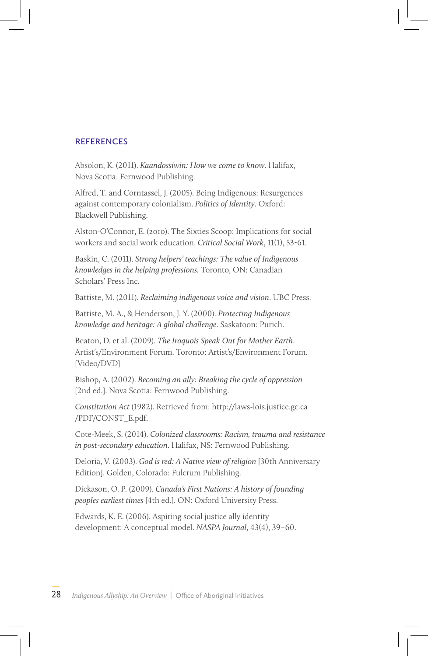#### **REFERENCES**

Absolon, K. (2011). Kaandossiwin: How we come to know. Halifax, Nova Scotia: Fernwood Publishing.

Alfred, T. and Corntassel, J. (2005). Being Indigenous: Resurgences against contemporary colonialism. Politics of Identity. Oxford: Blackwell Publishing.

Alston-O'Connor, E. (2010). The Sixties Scoop: Implications for social workers and social work education. Critical Social Work, 11(1), 53-61.

Baskin, C. (2011). Strong helpers' teachings: The value of Indigenous knowledges in the helping professions. Toronto, ON: Canadian Scholars' Press Inc.

Battiste, M. (2011). Reclaiming indigenous voice and vision. UBC Press.

Battiste, M. A., & Henderson, J. Y. (2000). Protecting Indigenous knowledge and heritage: A global challenge. Saskatoon: Purich.

Beaton, D. et al. (2009). The Iroquois Speak Out for Mother Earth. Artist's/Environment Forum. Toronto: Artist's/Environment Forum. [Video/DVD]

Bishop, A. (2002). Becoming an ally: Breaking the cycle of oppression [2nd ed.]. Nova Scotia: Fernwood Publishing.

Constitution Act (1982). Retrieved from: http://laws-lois.justice.gc.ca /PDF/CONST\_E.pdf.

Cote-Meek, S. (2014). Colonized classrooms: Racism, trauma and resistance in post-secondary education. Halifax, NS: Fernwood Publishing.

Deloria, V. (2003). God is red: A Native view of religion [30th Anniversary Edition]. Golden, Colorado: Fulcrum Publishing.

Dickason, O. P. (2009). Canada's First Nations: A history of founding peoples earliest times [4th ed.]. ON: Oxford University Press.

Edwards, K. E. (2006). Aspiring social justice ally identity development: A conceptual model. NASPA Journal, 43(4), 39–60.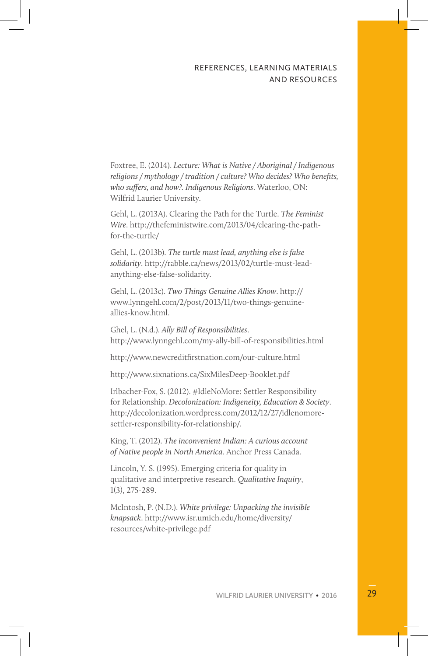#### REFERENCES, LEARNING MATERIALS AND RESOURCES

Foxtree, E. (2014). Lecture: What is Native / Aboriginal / Indigenous religions / mythology / tradition / culture? Who decides? Who benefits, who suffers, and how?. Indigenous Religions. Waterloo, ON: Wilfrid Laurier University.

Gehl, L. (2013A). Clearing the Path for the Turtle. The Feminist Wire. http://thefeministwire.com/2013/04/clearing-the-pathfor-the-turtle/

Gehl, L. (2013b). The turtle must lead, anything else is false solidarity. http://rabble.ca/news/2013/02/turtle-must-leadanything-else-false-solidarity.

Gehl, L. (2013c). Two Things Genuine Allies Know. http:// www.lynngehl.com/2/post/2013/11/two-things-genuineallies-know.html.

Ghel, L. (N.d.). Ally Bill of Responsibilities. http://www.lynngehl.com/my-ally-bill-of-responsibilities.html

http://www.newcreditfirstnation.com/our-culture.html

http://www.sixnations.ca/SixMilesDeep-Booklet.pdf

Irlbacher-Fox, S. (2012). #IdleNoMore: Settler Responsibility for Relationship. Decolonization: Indigeneity, Education & Society. http://decolonization.wordpress.com/2012/12/27/idlenomoresettler-responsibility-for-relationship/.

King, T. (2012). The inconvenient Indian: A curious account of Native people in North America. Anchor Press Canada.

Lincoln, Y. S. (1995). Emerging criteria for quality in qualitative and interpretive research. Qualitative Inquiry, 1(3), 275-289.

McIntosh, P. (N.D.). White privilege: Unpacking the invisible knapsack. http://www.isr.umich.edu/home/diversity/ resources/white-privilege.pdf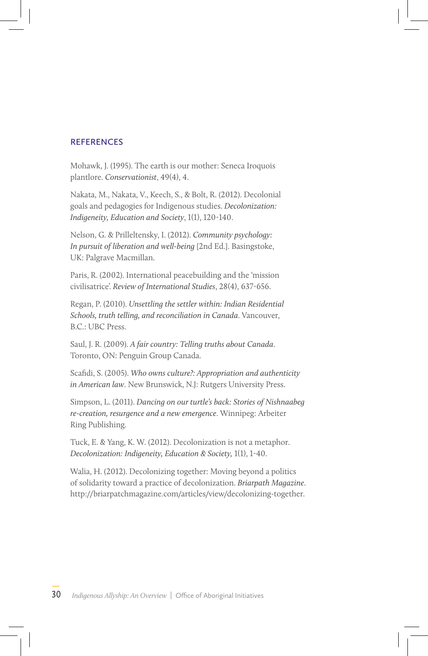#### **REFERENCES**

Mohawk, J. (1995). The earth is our mother: Seneca Iroquois plantlore. Conservationist, 49(4), 4.

Nakata, M., Nakata, V., Keech, S., & Bolt, R. (2012). Decolonial goals and pedagogies for Indigenous studies. Decolonization: Indigeneity, Education and Society, 1(1), 120-140.

Nelson, G. & Prilleltensky, I. (2012). Community psychology: In pursuit of liberation and well-being [2nd Ed.]. Basingstoke, UK: Palgrave Macmillan.

Paris, R. (2002). International peacebuilding and the 'mission civilisatrice'. Review of International Studies, 28(4), 637-656.

Regan, P. (2010). Unsettling the settler within: Indian Residential Schools, truth telling, and reconciliation in Canada. Vancouver, B.C.: UBC Press.

Saul, J. R. (2009). A fair country: Telling truths about Canada. Toronto, ON: Penguin Group Canada.

Scafidi, S. (2005). Who owns culture?: Appropriation and authenticity in American law. New Brunswick, N.J: Rutgers University Press.

Simpson, L. (2011). Dancing on our turtle's back: Stories of Nishnaabeg re-creation, resurgence and a new emergence. Winnipeg: Arbeiter Ring Publishing.

Tuck, E. & Yang, K. W. (2012). Decolonization is not a metaphor. Decolonization: Indigeneity, Education & Society, 1(1), 1-40.

Walia, H. (2012). Decolonizing together: Moving beyond a politics of solidarity toward a practice of decolonization. Briarpath Magazine. http://briarpatchmagazine.com/articles/view/decolonizing-together.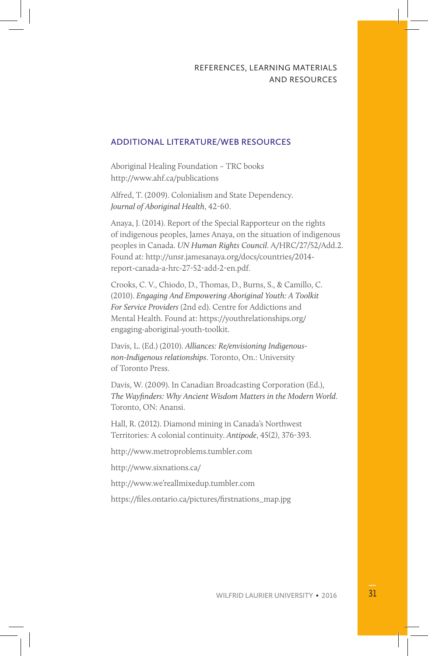#### REFERENCES, LEARNING MATERIALS AND RESOURCES

#### **ADDITIONAL LITERATURE/WEB RESOURCES**

Aboriginal Healing Foundation – TRC books http://www.ahf.ca/publications

Alfred, T. (2009). Colonialism and State Dependency. Journal of Aboriginal Health, 42-60.

Anaya, J. (2014). Report of the Special Rapporteur on the rights of indigenous peoples, James Anaya, on the situation of indigenous peoples in Canada. UN Human Rights Council. A/HRC/27/52/Add.2. Found at: http://unsr.jamesanaya.org/docs/countries/2014 report-canada-a-hrc-27-52-add-2-en.pdf.

Crooks, C. V., Chiodo, D., Thomas, D., Burns, S., & Camillo, C. (2010). Engaging And Empowering Aboriginal Youth: A Toolkit For Service Providers (2nd ed). Centre for Addictions and Mental Health. Found at: https://youthrelationships.org/ engaging-aboriginal-youth-toolkit.

Davis, L. (Ed.) (2010). Alliances: Re/envisioning Indigenousnon-Indigenous relationships. Toronto, On.: University of Toronto Press.

Davis, W. (2009). In Canadian Broadcasting Corporation (Ed.), The Wayfinders: Why Ancient Wisdom Matters in the Modern World. Toronto, ON: Anansi.

Hall, R. (2012). Diamond mining in Canada's Northwest Territories: A colonial continuity. Antipode, 45(2), 376-393.

http://www.metroproblems.tumbler.com

http://www.sixnations.ca/

http://www.we'reallmixedup.tumbler.com

https://files.ontario.ca/pictures/firstnations\_map.jpg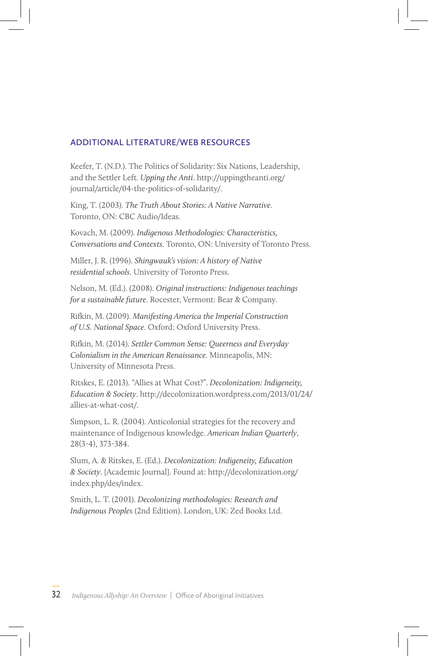#### **ADDITIONAL LITERATURE/WEB RESOURCES**

Keefer, T. (N.D.). The Politics of Solidarity: Six Nations, Leadership, and the Settler Left. Upping the Anti. http://uppingtheanti.org/ journal/article/04-the-politics-of-solidarity/.

King, T. (2003). The Truth About Stories: A Native Narrative. Toronto, ON: CBC Audio/Ideas.

Kovach, M. (2009). Indigenous Methodologies: Characteristics, Conversations and Contexts. Toronto, ON: University of Toronto Press.

Miller, J. R. (1996). Shingwauk's vision: A history of Native residential schools. University of Toronto Press.

Nelson, M. (Ed.). (2008). Original instructions: Indigenous teachings for a sustainable future. Rocester, Vermont: Bear & Company.

Rifkin, M. (2009). Manifesting America the Imperial Construction of U.S. National Space. Oxford: Oxford University Press.

Rifkin, M. (2014). Settler Common Sense: Queerness and Everyday Colonialism in the American Renaissance. Minneapolis, MN: University of Minnesota Press.

Ritskes, E. (2013). "Allies at What Cost?". Decolonization: Indigeneity, Education & Society. http://decolonization.wordpress.com/2013/01/24/ allies-at-what-cost/.

Simpson, L. R. (2004). Anticolonial strategies for the recovery and maintenance of Indigenous knowledge. American Indian Quarterly, 28(3-4), 373-384.

Slum, A. & Ritskes, E. (Ed.). Decolonization: Indigeneity, Education & Society. [Academic Journal]. Found at: http://decolonization.org/ index.php/des/index.

Smith, L. T. (2001). Decolonizing methodologies: Research and Indigenous Peoples (2nd Edition). London, UK: Zed Books Ltd.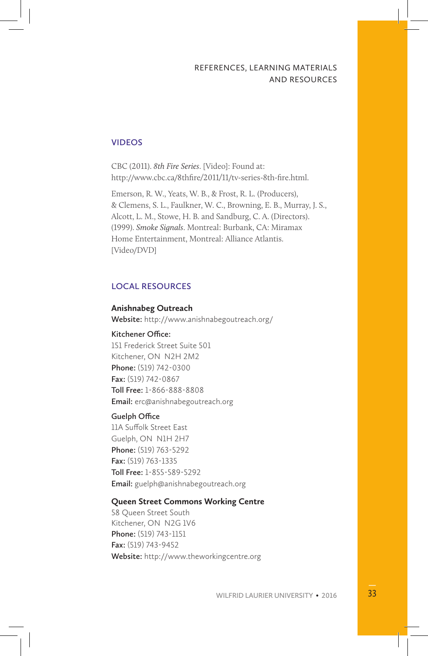#### REFERENCES, LEARNING MATERIALS AND RESOURCES

#### **VIDEOS**

CBC (2011). 8th Fire Series. [Video]: Found at: http://www.cbc.ca/8thfire/2011/11/tv-series-8th-fire.html.

Emerson, R. W., Yeats, W. B., & Frost, R. L. (Producers), & Clemens, S. L., Faulkner, W. C., Browning, E. B., Murray, J. S., Alcott, L. M., Stowe, H. B. and Sandburg, C. A. (Directors). (1999). Smoke Signals. Montreal: Burbank, CA: Miramax Home Entertainment, Montreal: Alliance Atlantis. [Video/DVD]

#### **LOCAL RESOURCES**

#### **Anishnabeg Outreach**

**Website:** http://www.anishnabegoutreach.org/

#### **Kitchener Office:**

151 Frederick Street Suite 501 Kitchener, ON N2H 2M2 **Phone:** (519) 742-0300 **Fax:** (519) 742-0867 **Toll Free:** 1-866-888-8808 **Email:** erc@anishnabegoutreach.org

#### **Guelph Office**

11A Suffolk Street East Guelph, ON N1H 2H7 **Phone:** (519) 763-5292 **Fax:** (519) 763-1335 **Toll Free:** 1-855-589-5292 **Email:** guelph@anishnabegoutreach.org

#### **Queen Street Commons Working Centre**

58 Queen Street South Kitchener, ON N2G 1V6 **Phone:** (519) 743-1151 **Fax:** (519) 743-9452 **Website:** http://www.theworkingcentre.org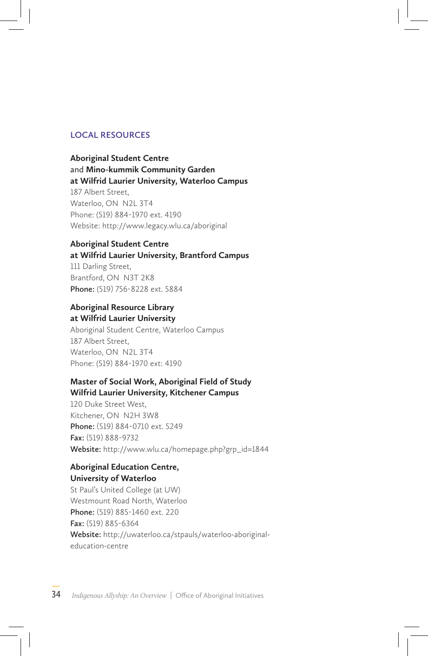#### **LOCAL RESOURCES**

#### **Aboriginal Student Centre**  and **Mino-kummik Community Garden at Wilfrid Laurier University, Waterloo Campus** 187 Albert Street, Waterloo, ON N2L 3T4 Phone: (519) 884-1970 ext. 4190

Website: http://www.legacy.wlu.ca/aboriginal

#### **Aboriginal Student Centre**

#### **at Wilfrid Laurier University, Brantford Campus**

111 Darling Street, Brantford, ON N3T 2K8 **Phone:** (519) 756-8228 ext. 5884

#### **Aboriginal Resource Library**

**at Wilfrid Laurier University** Aboriginal Student Centre, Waterloo Campus 187 Albert Street, Waterloo, ON N2L 3T4 Phone: (519) 884-1970 ext: 4190

#### **Master of Social Work, Aboriginal Field of Study Wilfrid Laurier University, Kitchener Campus**

120 Duke Street West, Kitchener, ON N2H 3W8 **Phone:** (519) 884-0710 ext. 5249 **Fax:** (519) 888-9732 **Website:** http://www.wlu.ca/homepage.php?grp\_id=1844

#### **Aboriginal Education Centre, University of Waterloo**

St Paul's United College (at UW) Westmount Road North, Waterloo **Phone:** (519) 885-1460 ext. 220 **Fax:** (519) 885-6364 **Website:** http://uwaterloo.ca/stpauls/waterloo-aboriginaleducation-centre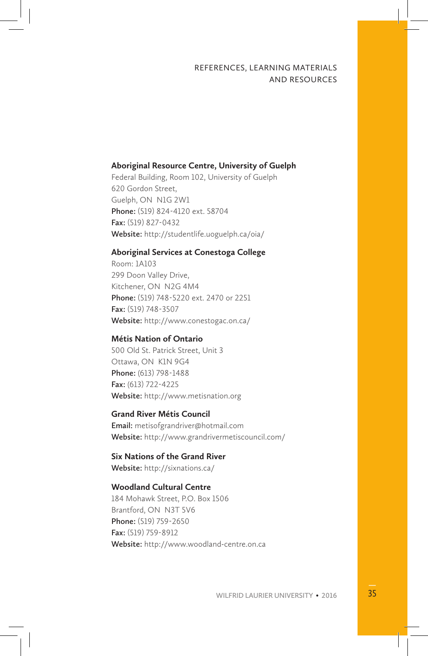#### REFERENCES, LEARNING MATERIALS AND RESOURCES

#### **Aboriginal Resource Centre, University of Guelph**

Federal Building, Room 102, University of Guelph 620 Gordon Street, Guelph, ON N1G 2W1 **Phone:** (519) 824-4120 ext. 58704 **Fax:** (519) 827-0432 **Website:** http://studentlife.uoguelph.ca/oia/

#### **Aboriginal Services at Conestoga College**

Room: 1A103 299 Doon Valley Drive, Kitchener, ON N2G 4M4 **Phone:** (519) 748-5220 ext. 2470 or 2251 **Fax:** (519) 748-3507 **Website:** http://www.conestogac.on.ca/

#### **Métis Nation of Ontario**

500 Old St. Patrick Street, Unit 3 Ottawa, ON K1N 9G4 **Phone:** (613) 798-1488 **Fax:** (613) 722-4225 **Website:** http://www.metisnation.org

#### **Grand River Métis Council**

**Email:** metisofgrandriver@hotmail.com **Website:** http://www.grandrivermetiscouncil.com/

#### **Six Nations of the Grand River**

**Website:** http://sixnations.ca/

#### **Woodland Cultural Centre**

184 Mohawk Street, P.O. Box 1506 Brantford, ON N3T 5V6 **Phone:** (519) 759-2650 **Fax:** (519) 759-8912 **Website:** http://www.woodland-centre.on.ca